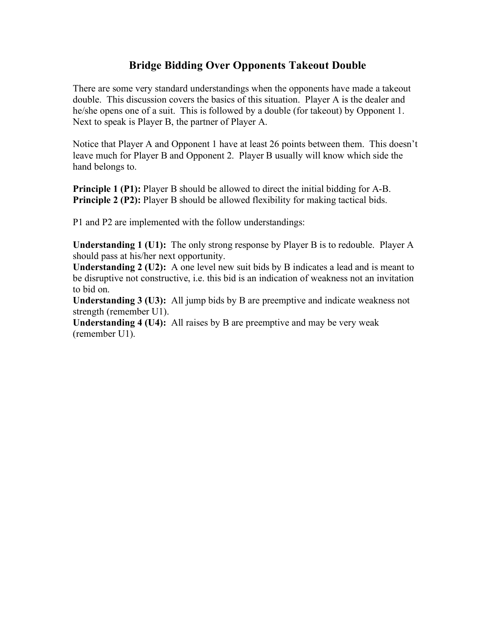## **Bridge Bidding Over Opponents Takeout Double**

There are some very standard understandings when the opponents have made a takeout double. This discussion covers the basics of this situation. Player A is the dealer and he/she opens one of a suit. This is followed by a double (for takeout) by Opponent 1. Next to speak is Player B, the partner of Player A.

Notice that Player A and Opponent 1 have at least 26 points between them. This doesn't leave much for Player B and Opponent 2. Player B usually will know which side the hand belongs to.

**Principle 1 (P1):** Player B should be allowed to direct the initial bidding for A-B. **Principle 2 (P2):** Player B should be allowed flexibility for making tactical bids.

P1 and P2 are implemented with the follow understandings:

**Understanding 1 (U1):** The only strong response by Player B is to redouble. Player A should pass at his/her next opportunity.

**Understanding 2 (U2):** A one level new suit bids by B indicates a lead and is meant to be disruptive not constructive, i.e. this bid is an indication of weakness not an invitation to bid on.

**Understanding 3 (U3):** All jump bids by B are preemptive and indicate weakness not strength (remember U1).

**Understanding 4 (U4):** All raises by B are preemptive and may be very weak (remember U1).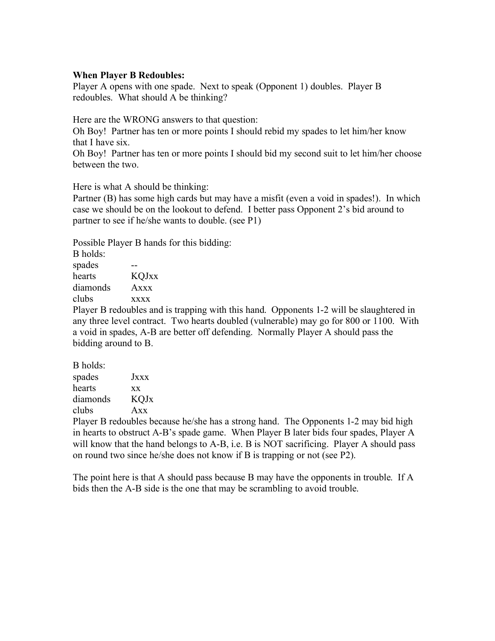## **When Player B Redoubles:**

Player A opens with one spade. Next to speak (Opponent 1) doubles. Player B redoubles. What should A be thinking?

Here are the WRONG answers to that question:

Oh Boy! Partner has ten or more points I should rebid my spades to let him/her know that I have six.

Oh Boy! Partner has ten or more points I should bid my second suit to let him/her choose between the two.

Here is what A should be thinking:

Partner (B) has some high cards but may have a misfit (even a void in spades!). In which case we should be on the lookout to defend. I better pass Opponent 2's bid around to partner to see if he/she wants to double. (see P1)

Possible Player B hands for this bidding:

| B holds: |  |              |  |
|----------|--|--------------|--|
| spades   |  |              |  |
| hearts   |  | <b>KQJxx</b> |  |
| diamonds |  | $A$ xxx      |  |
| clubs    |  | <b>XXXX</b>  |  |
|          |  |              |  |

Player B redoubles and is trapping with this hand. Opponents 1-2 will be slaughtered in any three level contract. Two hearts doubled (vulnerable) may go for 800 or 1100. With a void in spades, A-B are better off defending. Normally Player A should pass the bidding around to B.

| B holds: |              |
|----------|--------------|
| spades   | <b>J</b> xxx |
| hearts   | <b>XX</b>    |
| diamonds | <b>KQJx</b>  |
| clubs    | Axx          |
|          |              |

Player B redoubles because he/she has a strong hand. The Opponents 1-2 may bid high in hearts to obstruct A-B's spade game. When Player B later bids four spades, Player A will know that the hand belongs to A-B, i.e. B is NOT sacrificing. Player A should pass on round two since he/she does not know if B is trapping or not (see P2).

The point here is that A should pass because B may have the opponents in trouble. If A bids then the A-B side is the one that may be scrambling to avoid trouble.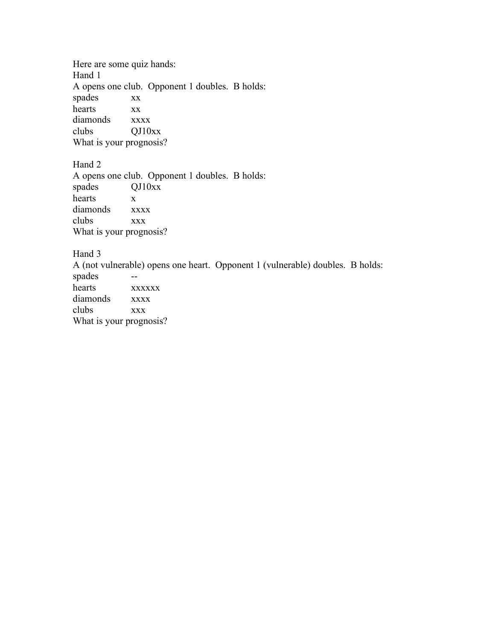Here are some quiz hands: Hand 1 A opens one club. Opponent 1 doubles. B holds: spades xx hearts xx diamonds xxxx clubs QJ10xx What is your prognosis?

Hand 2

A opens one club. Opponent 1 doubles. B holds: spades QJ10xx hearts x diamonds xxxx clubs xxx What is your prognosis?

Hand 3

A (not vulnerable) opens one heart. Opponent 1 (vulnerable) doubles. B holds: spades - hearts xxxxxx diamonds xxxx clubs xxx What is your prognosis?